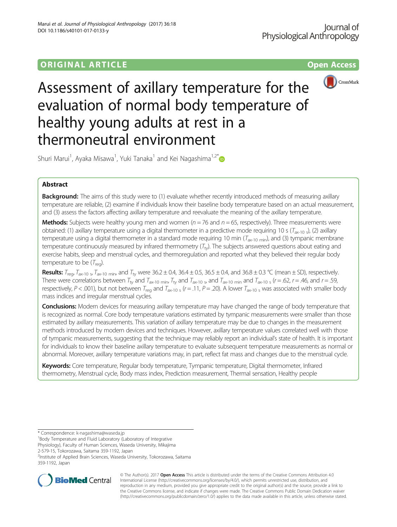# **ORIGINAL ARTICLE CONSERVATION CONSERVATION**





# Assessment of axillary temperature for the evaluation of normal body temperature of healthy young adults at rest in a thermoneutral environment

Shuri Marui<sup>1</sup>, Ayaka Misawa<sup>1</sup>, Yuki Tanaka<sup>1</sup> and Kei Nagashima<sup>1,2\*</sup>

## Abstract

Background: The aims of this study were to (1) evaluate whether recently introduced methods of measuring axillary temperature are reliable, (2) examine if individuals know their baseline body temperature based on an actual measurement, and (3) assess the factors affecting axillary temperature and reevaluate the meaning of the axillary temperature.

**Methods:** Subjects were healthy young men and women ( $n = 76$  and  $n = 65$ , respectively). Three measurements were obtained: (1) axillary temperature using a digital thermometer in a predictive mode requiring 10 s ( $T_{\text{ax-10}}$  s), (2) axillary temperature using a digital thermometer in a standard mode requiring 10 min ( $T_{ax-10 \text{ min}}$ ), and (3) tympanic membrane temperature continuously measured by infrared thermometry  $(T_{ty})$ . The subjects answered questions about eating and exercise habits, sleep and menstrual cycles, and thermoregulation and reported what they believed their regular body temperature to be  $(T_{\text{real}})$ .

**Results:**  $T_{\text{reg}}$ ,  $T_{\text{ax-10}}$  <sub>s</sub>,  $T_{\text{ax-10}}$  min, and  $T_{\text{ty}}$  were 36.2 ± 0.4, 36.4 ± 0.5, 36.5 ± 0.4, and 36.8 ± 0.3 °C (mean ± SD), respectively. There were correlations between  $T_{ty}$  and  $T_{ax-10 \text{ min}}$ ,  $T_{ty}$  and  $T_{ax-10 \text{ s}}$ , and  $T_{ax-10 \text{ min}}$  and  $T_{ax-10 \text{ s}}$  ( $r = .62$ ,  $r = .46$ , and  $r = .59$ , respectively, P < .001), but not between  $T_{\text{req}}$  and  $T_{\text{ax-10}}$  s (r = .11, P = .20). A lower  $T_{\text{ax-10}}$  s was associated with smaller body mass indices and irregular menstrual cycles.

**Conclusions:** Modern devices for measuring axillary temperature may have changed the range of body temperature that is recognized as normal. Core body temperature variations estimated by tympanic measurements were smaller than those estimated by axillary measurements. This variation of axillary temperature may be due to changes in the measurement methods introduced by modern devices and techniques. However, axillary temperature values correlated well with those of tympanic measurements, suggesting that the technique may reliably report an individual's state of health. It is important for individuals to know their baseline axillary temperature to evaluate subsequent temperature measurements as normal or abnormal. Moreover, axillary temperature variations may, in part, reflect fat mass and changes due to the menstrual cycle.

Keywords: Core temperature, Regular body temperature, Tympanic temperature, Digital thermometer, Infrared thermometry, Menstrual cycle, Body mass index, Prediction measurement, Thermal sensation, Healthy people

<sup>1</sup>Body Temperature and Fluid Laboratory (Laboratory of Integrative

2-579-15, Tokorozawa, Saitama 359-1192, Japan

2 Institute of Applied Brain Sciences, Waseda University, Tokorozawa, Saitama 359-1192, Japan



© The Author(s). 2017 **Open Access** This article is distributed under the terms of the Creative Commons Attribution 4.0 International License [\(http://creativecommons.org/licenses/by/4.0/](http://creativecommons.org/licenses/by/4.0/)), which permits unrestricted use, distribution, and reproduction in any medium, provided you give appropriate credit to the original author(s) and the source, provide a link to the Creative Commons license, and indicate if changes were made. The Creative Commons Public Domain Dedication waiver [\(http://creativecommons.org/publicdomain/zero/1.0/](http://creativecommons.org/publicdomain/zero/1.0/)) applies to the data made available in this article, unless otherwise stated.

<sup>\*</sup> Correspondence: [k-nagashima@waseda.jp](mailto:k-nagashima@waseda.jp) <sup>1</sup>

Physiology), Faculty of Human Sciences, Waseda University, Mikajima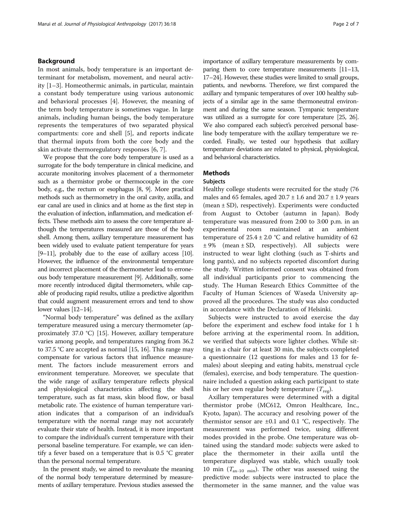#### Background

In most animals, body temperature is an important determinant for metabolism, movement, and neural activity [\[1](#page-6-0)–[3\]](#page-6-0). Homeothermic animals, in particular, maintain a constant body temperature using various autonomic and behavioral processes [[4\]](#page-6-0). However, the meaning of the term body temperature is sometimes vague. In large animals, including human beings, the body temperature represents the temperatures of two separated physical compartments: core and shell [[5](#page-6-0)], and reports indicate that thermal inputs from both the core body and the skin activate thermoregulatory responses [\[6](#page-6-0), [7\]](#page-6-0).

We propose that the core body temperature is used as a surrogate for the body temperature in clinical medicine, and accurate monitoring involves placement of a thermometer such as a thermistor probe or thermocouple in the core body, e.g., the rectum or esophagus [[8](#page-6-0), [9](#page-6-0)]. More practical methods such as thermometry in the oral cavity, axilla, and ear canal are used in clinics and at home as the first step in the evaluation of infection, inflammation, and medication effects. These methods aim to assess the core temperature although the temperatures measured are those of the body shell. Among them, axillary temperature measurement has been widely used to evaluate patient temperature for years [[9](#page-6-0)–[11](#page-6-0)], probably due to the ease of axillary access [\[10\]](#page-6-0). However, the influence of the environmental temperature and incorrect placement of the thermometer lead to erroneous body temperature measurement [\[9](#page-6-0)]. Additionally, some more recently introduced digital thermometers, while capable of producing rapid results, utilize a predictive algorithm that could augment measurement errors and tend to show lower values [\[12](#page-6-0)–[14](#page-6-0)].

"Normal body temperature" was defined as the axillary temperature measured using a mercury thermometer (approximately 37.0 °C) [\[15](#page-6-0)]. However, axillary temperature varies among people, and temperatures ranging from 36.2 to 37.5 °C are accepted as normal [[15](#page-6-0), [16\]](#page-6-0). This range may compensate for various factors that influence measurement. The factors include measurement errors and environment temperature. Moreover, we speculate that the wide range of axillary temperature reflects physical and physiological characteristics affecting the shell temperature, such as fat mass, skin blood flow, or basal metabolic rate. The existence of human temperature variation indicates that a comparison of an individual's temperature with the normal range may not accurately evaluate their state of health. Instead, it is more important to compare the individual's current temperature with their personal baseline temperature. For example, we can identify a fever based on a temperature that is 0.5 °C greater than the personal normal temperature.

In the present study, we aimed to reevaluate the meaning of the normal body temperature determined by measurements of axillary temperature. Previous studies assessed the importance of axillary temperature measurements by comparing them to core temperature measurements [\[11](#page-6-0)–[13](#page-6-0), [17](#page-6-0)–[24](#page-6-0)]. However, these studies were limited to small groups, patients, and newborns. Therefore, we first compared the axillary and tympanic temperatures of over 100 healthy subjects of a similar age in the same thermoneutral environment and during the same season. Tympanic temperature was utilized as a surrogate for core temperature [[25, 26](#page-6-0)]. We also compared each subject's perceived personal baseline body temperature with the axillary temperature we recorded. Finally, we tested our hypothesis that axillary temperature deviations are related to physical, physiological, and behavioral characteristics.

#### **Methods**

#### Subjects

Healthy college students were recruited for the study (76 males and 65 females, aged  $20.7 \pm 1.6$  and  $20.7 \pm 1.9$  years (mean ± SD), respectively). Experiments were conducted from August to October (autumn in Japan). Body temperature was measured from 2:00 to 3:00 p.m. in an experimental room maintained at an ambient temperature of  $25.4 \pm 2.0$  °C and relative humidity of 62  $± 9%$  (mean  $± SD$ , respectively). All subjects were instructed to wear light clothing (such as T-shirts and long pants), and no subjects reported discomfort during the study. Written informed consent was obtained from all individual participants prior to commencing the study. The Human Research Ethics Committee of the Faculty of Human Sciences of Waseda University approved all the procedures. The study was also conducted in accordance with the Declaration of Helsinki.

Subjects were instructed to avoid exercise the day before the experiment and eschew food intake for 1 h before arriving at the experimental room. In addition, we verified that subjects wore lighter clothes. While sitting in a chair for at least 30 min, the subjects completed a questionnaire (12 questions for males and 13 for females) about sleeping and eating habits, menstrual cycle (females), exercise, and body temperature. The questionnaire included a question asking each participant to state his or her own regular body temperature  $(T_{\text{res}})$ .

Axillary temperatures were determined with a digital thermistor probe (MC612, Omron Healthcare, Inc., Kyoto, Japan). The accuracy and resolving power of the thermistor sensor are  $\pm 0.1$  and 0.1 °C, respectively. The measurement was performed twice, using different modes provided in the probe. One temperature was obtained using the standard mode: subjects were asked to place the thermometer in their axilla until the temperature displayed was stable, which usually took 10 min  $(T_{ax-10 \text{ min}})$ . The other was assessed using the predictive mode: subjects were instructed to place the thermometer in the same manner, and the value was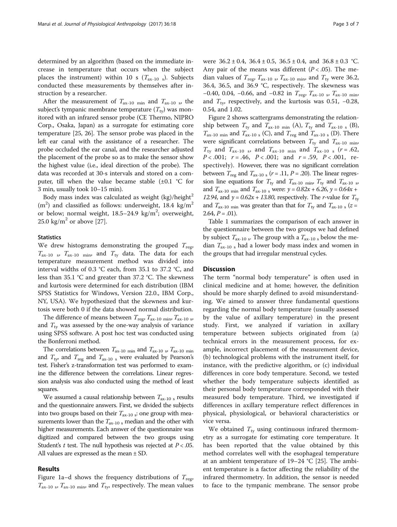determined by an algorithm (based on the immediate increase in temperature that occurs when the subject places the instrument) within 10 s  $(T_{\text{av-10 s}})$ . Subjects conducted these measurements by themselves after instruction by a researcher.

After the measurement of  $T_{ax-10 \text{ min}}$  and  $T_{ax-10 s}$ , the subject's tympanic membrane temperature  $(T_{tv})$  was monitored with an infrared sensor probe (CE Thermo, NIPRO Corp., Osaka, Japan) as a surrogate for estimating core temperature [\[25, 26\]](#page-6-0). The sensor probe was placed in the left ear canal with the assistance of a researcher. The probe occluded the ear canal, and the researcher adjusted the placement of the probe so as to make the sensor show the highest value (i.e., ideal direction of the probe). The data was recorded at 30-s intervals and stored on a computer, till when the value became stable  $(\pm 0.1 \degree C$  for 3 min, usually took 10–15 min).

Body mass index was calculated as weight  $(kg)/height<sup>2</sup>$  $(m<sup>2</sup>)$  and classified as follows: underweight, 18.4 kg/m<sup>2</sup> or below; normal weight,  $18.5-24.9 \text{ kg/m}^2$ ; overweight, 25.0 kg/ $m^2$  or above [[27\]](#page-6-0).

#### **Statistics**

We drew histograms demonstrating the grouped  $T_{\text{reg}}$ ,  $T_{\text{ax-10}}$  s,  $T_{\text{ax-10}}$  min, and  $T_{\text{ty}}$  data. The data for each temperature measurement method was divided into interval widths of 0.3 °C each, from 35.1 to 37.2 °C, and less than 35.1 °C and greater than 37.2 °C. The skewness and kurtosis were determined for each distribution (IBM SPSS Statistics for Windows, Version 22.0., IBM Corp., NY, USA). We hypothesized that the skewness and kurtosis were both 0 if the data showed normal distribution.

The difference of means between  $T_{\text{reg}}$ ,  $T_{\text{ax-10 min}}$ ,  $T_{\text{ax-10}}$  s, and  $T_{\text{tv}}$  was assessed by the one-way analysis of variance using SPSS software. A post hoc test was conducted using the Bonferroni method.

The correlations between  $T_{\text{ax-10 min}}$  and  $T_{\text{ax-10}}$  s,  $T_{\text{ax-10 min}}$ and  $T_{\text{tv}}$  and  $T_{\text{reg}}$  and  $T_{\text{ax-10}}$  s were evaluated by Pearson's test. Fisher's z-transformation test was performed to examine the difference between the correlations. Linear regression analysis was also conducted using the method of least squares.

We assumed a causal relationship between  $T_{\text{ax-10 s}}$  results and the questionnaire answers. First, we divided the subjects into two groups based on their  $T_{ax-10}$  s: one group with measurements lower than the  $T_{\mathrm{ax}\text{-}10~\mathrm{s}}$  median and the other with higher measurements. Each answer of the questionnaire was digitized and compared between the two groups using Student's  $t$  test. The null hypothesis was rejected at  $P < .05$ . All values are expressed as the mean ± SD.

#### Results

Figure [1a](#page-3-0)–[d](#page-3-0) shows the frequency distributions of  $T_{\text{reg}}$ ,  $T_{\text{ax-10 s}}$ ,  $T_{\text{ax-10 min}}$ , and  $T_{\text{ty}}$ , respectively. The mean values

were  $36.2 \pm 0.4$ ,  $36.4 \pm 0.5$ ,  $36.5 \pm 0.4$ , and  $36.8 \pm 0.3$  °C. Any pair of the means was different  $(P < .05)$ . The median values of  $T_{\text{reg}}$ ,  $T_{\text{ax-10 s}}$ ,  $T_{\text{ax-10 min}}$ , and  $T_{\text{ty}}$  were 36.2, 36.4, 36.5, and 36.9 °C, respectively. The skewness was −0.40, 0.04, −0.66, and −0.82 in  $T_{reg}$ ,  $T_{ax-10}$ ,  $T_{ax-10}$  min, and  $T_{\text{tv}}$ , respectively, and the kurtosis was 0.51, -0.28, 0.54, and 1.02.

Figure [2](#page-4-0) shows scattergrams demonstrating the relationship between  $T_{\text{tv}}$  and  $T_{\text{ax-10 min}}$  (A),  $T_{\text{tv}}$  and  $T_{\text{ax-10 s}}$  (B),  $T_{\text{ax-10 min}}$  and  $T_{\text{ax-10 s}}$  (C), and  $T_{\text{reg}}$  and  $T_{\text{ax-10 s}}$  (D). There were significant correlations between  $T_{\text{tv}}$  and  $T_{\text{ax-10 min}}$ ,  $T_{\text{tv}}$  and  $T_{\text{ax-10}}$  s, and  $T_{\text{ax-10}}$  min and  $T_{\text{ax-10}}$  s (r = .62,  $P < .001$ ;  $r = .46$ ,  $P < .001$ ; and  $r = .59$ ,  $P < .001$ , respectively). However, there was no significant correlation between  $T_{\text{reg}}$  and  $T_{\text{ax-10 s}}$  ( $r = .11$ ,  $P = .20$ ). The linear regression line equations for  $T_{\text{ty}}$  and  $T_{\text{ax-10}}$   $T_{\text{t}}$  and  $T_{\text{ax-10}}$  s, and  $T_{ax-10 \text{ min}}$  and  $T_{ax-10 \text{ s}}$  were:  $y = 0.82x + 6.26$ ,  $y = 0.64x +$ 12.94, and  $y = 0.62x + 13.80$ , respectively. The *r*-value for  $T_{\text{tv}}$ and  $T_{ax-10 \text{ min}}$  was greater than that for  $T_{tx}$  and  $T_{ax-10 s}$  (z =  $2.64, P = .01$ ).

Table [1](#page-5-0) summarizes the comparison of each answer in the questionnaire between the two groups we had defined by subject  $T_{ax-10 s}$ . The group with a  $T_{ax-10 s}$  below the median  $T_{ax-10}$  s had a lower body mass index and women in the groups that had irregular menstrual cycles.

#### **Discussion**

The term "normal body temperature" is often used in clinical medicine and at home; however, the definition should be more sharply defined to avoid misunderstanding. We aimed to answer three fundamental questions regarding the normal body temperature (usually assessed by the value of axillary temperature) in the present study. First, we analyzed if variation in axillary temperature between subjects originated from (a) technical errors in the measurement process, for example, incorrect placement of the measurement device, (b) technological problems with the instrument itself, for instance, with the predictive algorithm, or (c) individual differences in core body temperature. Second, we tested whether the body temperature subjects identified as their personal body temperature corresponded with their measured body temperature. Third, we investigated if differences in axillary temperature reflect differences in physical, physiological, or behavioral characteristics or vice versa.

We obtained  $T_{\text{tv}}$  using continuous infrared thermometry as a surrogate for estimating core temperature. It has been reported that the value obtained by this method correlates well with the esophageal temperature at an ambient temperature of 19–24 °C [\[25](#page-6-0)]. The ambient temperature is a factor affecting the reliability of the infrared thermometry. In addition, the sensor is needed to face to the tympanic membrane. The sensor probe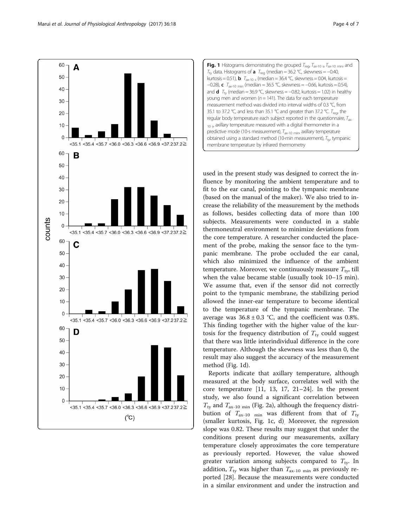<span id="page-3-0"></span>Marui et al. Journal of Physiological Anthropology (2017) 36:18 Page 4 of 7





used in the present study was designed to correct the influence by monitoring the ambient temperature and to fit to the ear canal, pointing to the tympanic membrane (based on the manual of the maker). We also tried to increase the reliability of the measurement by the methods as follows, besides collecting data of more than 100 subjects. Measurements were conducted in a stable thermoneutral environment to minimize deviations from the core temperature. A researcher conducted the placement of the probe, making the sensor face to the tympanic membrane. The probe occluded the ear canal, which also minimized the influence of the ambient temperature. Moreover, we continuously measure  $T_{\text{tv}}$ , till when the value became stable (usually took 10–15 min). We assume that, even if the sensor did not correctly point to the tympanic membrane, the stabilizing period allowed the inner-ear temperature to become identical to the temperature of the tympanic membrane. The average was  $36.8 \pm 0.3$  °C, and the coefficient was 0.8%. This finding together with the higher value of the kurtosis for the frequency distribution of  $T_{\text{ty}}$  could suggest that there was little interindividual difference in the core temperature. Although the skewness was less than 0, the result may also suggest the accuracy of the measurement method (Fig. 1d).

Reports indicate that axillary temperature, although measured at the body surface, correlates well with the core temperature [[11](#page-6-0), [13](#page-6-0), [17, 21](#page-6-0)–[24\]](#page-6-0). In the present study, we also found a significant correlation between  $T_{\text{ty}}$  and  $T_{\text{ax-10 min}}$  (Fig. [2a](#page-4-0)), although the frequency distribution of  $T_{\text{ax-10}}$  min was different from that of  $T_{\text{ty}}$ (smaller kurtosis, Fig. 1c, d). Moreover, the regression slope was 0.82. These results may suggest that under the conditions present during our measurements, axillary temperature closely approximates the core temperature as previously reported. However, the value showed greater variation among subjects compared to  $T_{\text{ty}}$ . In addition,  $T_{\text{ty}}$  was higher than  $T_{\text{ax-10 min}}$  as previously reported [\[28](#page-6-0)]. Because the measurements were conducted in a similar environment and under the instruction and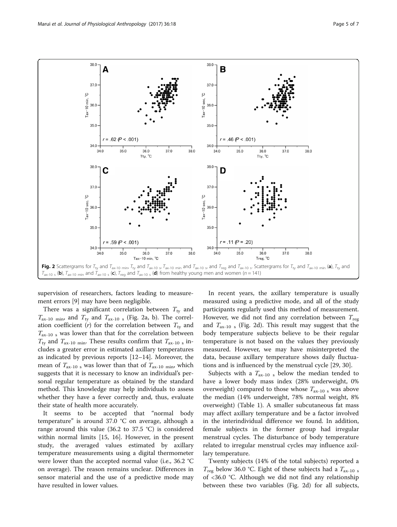<span id="page-4-0"></span>

supervision of researchers, factors leading to measurement errors [\[9](#page-6-0)] may have been negligible.

There was a significant correlation between  $T_{\text{tv}}$  and  $T_{\text{ax-10 min}}$ , and  $T_{\text{ty}}$  and  $T_{\text{ax-10 s}}$  (Fig. 2a, b). The correlation coefficient (r) for the correlation between  $T_{\text{ty}}$  and  $T_{\text{ax-10 s}}$  was lower than that for the correlation between  $T_{\text{ty}}$  and  $T_{\text{ax-10 min}}$ . These results confirm that  $T_{\text{ax-10 s}}$  includes a greater error in estimated axillary temperatures as indicated by previous reports [[12](#page-6-0)–[14](#page-6-0)]. Moreover, the mean of  $T_{\text{ax-10 s}}$  was lower than that of  $T_{\text{ax-10 min}}$ , which suggests that it is necessary to know an individual's personal regular temperature as obtained by the standard method. This knowledge may help individuals to assess whether they have a fever correctly and, thus, evaluate their state of health more accurately.

It seems to be accepted that "normal body temperature" is around 37.0 °C on average, although a range around this value (36.2 to 37.5 °C) is considered within normal limits [[15](#page-6-0), [16](#page-6-0)]. However, in the present study, the averaged values estimated by axillary temperature measurements using a digital thermometer were lower than the accepted normal value (i.e., 36.2 °C on average). The reason remains unclear. Differences in sensor material and the use of a predictive mode may have resulted in lower values.

In recent years, the axillary temperature is usually measured using a predictive mode, and all of the study participants regularly used this method of measurement. However, we did not find any correlation between  $T_{\text{rec}}$ and  $T_{ax-10}$  s (Fig. 2d). This result may suggest that the body temperature subjects believe to be their regular temperature is not based on the values they previously measured. However, we may have misinterpreted the data, because axillary temperature shows daily fluctuations and is influenced by the menstrual cycle [[29, 30\]](#page-6-0).

Subjects with a  $T_{ax-10}$  s below the median tended to have a lower body mass index (28% underweight, 0% overweight) compared to those whose  $T_{ax-10}$  s was above the median (14% underweight, 78% normal weight, 8% overweight) (Table [1\)](#page-5-0). A smaller subcutaneous fat mass may affect axillary temperature and be a factor involved in the interindividual difference we found. In addition, female subjects in the former group had irregular menstrual cycles. The disturbance of body temperature related to irregular menstrual cycles may influence axillary temperature.

Twenty subjects (14% of the total subjects) reported a  $T_{\text{reg}}$  below 36.0 °C. Eight of these subjects had a  $T_{\text{ax-10 s}}$ of <36.0 °C. Although we did not find any relationship between these two variables (Fig. 2d) for all subjects,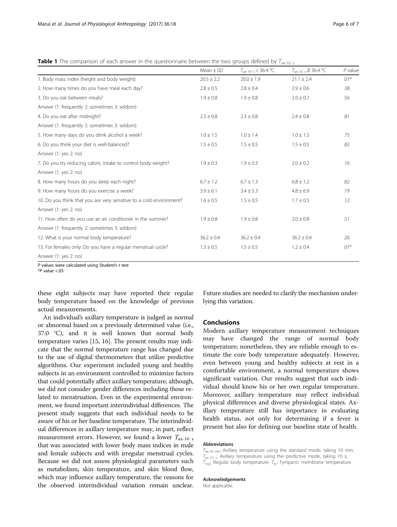<span id="page-5-0"></span>**Table 1** The comparison of each answer in the questionnaire between the two groups defined by  $T_{\text{ax-10}}$  s

|                                                                     | Mean $\pm$ SD  | $T_{ax-10 s}$ < 36.4 °C | $T_{\text{ax-10 s}} \geq 36.4 \text{ °C}$ | $P$ value |
|---------------------------------------------------------------------|----------------|-------------------------|-------------------------------------------|-----------|
| 1. Body mass index (height and body weight)                         | $20.5 \pm 2.2$ | $20.0 \pm 1.9$          | $21.1 \pm 2.4$                            | $.01*$    |
| 2. How many times do you have meal each day?                        | $2.8 \pm 0.5$  | $2.8 \pm 0.4$           | $2.9 \pm 0.6$                             | .38       |
| 3. Do you eat between meals?                                        | $1.9 \pm 0.8$  | $1.9 \pm 0.8$           | $2.0 \pm 0.7$                             | .56       |
| Answer (1: frequently 2: sometimes 3: seldom)                       |                |                         |                                           |           |
| 4. Do you eat after midnight?                                       | $2.3 \pm 0.8$  | $2.3 \pm 0.8$           | $2.4 \pm 0.8$                             | .81       |
| Answer (1: frequently 2: sometimes 3: seldom)                       |                |                         |                                           |           |
| 5. How many days do you drink alcohol a week?                       | $1.0 \pm 1.5$  | $1.0 \pm 1.4$           | $1.0 \pm 1.5$                             | .75       |
| 6. Do you think your diet is well-balanced?                         | $1.5 \pm 0.5$  | $1.5 \pm 0.5$           | $1.5 \pm 0.5$                             | .82       |
| Answer (1: yes 2: no)                                               |                |                         |                                           |           |
| 7. Do you try reducing caloric intake to control body weight?       | $1.9 \pm 0.3$  | $1.9 \pm 0.3$           | $2.0 \pm 0.2$                             | .16       |
| Answer (1: yes 2: no)                                               |                |                         |                                           |           |
| 8. How many hours do you sleep each night?                          | $6.7 \pm 1.2$  | $6.7 \pm 1.3$           | $6.8 \pm 1.2$                             | .82       |
| 9. How many hours do you exercise a week?                           | $3.9 \pm 6.1$  | $3.4 \pm 5.3$           | $4.8 \pm 6.9$                             | .19       |
| 10. Do you think that you are very sensitive to a cold environment? | $1.6 \pm 0.5$  | $1.5 \pm 0.5$           | $1.7 \pm 0.5$                             | .12       |
| Answer (1: yes 2: no)                                               |                |                         |                                           |           |
| 11. How often do you use an air conditioner in the summer?          | $1.9 \pm 0.8$  | $1.9 \pm 0.8$           | $2.0 \pm 0.8$                             | .51       |
| Answer (1: frequently 2: sometimes 3: seldom)                       |                |                         |                                           |           |
| 12. What is your normal body temperature?                           | $36.2 \pm 0.4$ | $36.2 \pm 0.4$          | $36.2 \pm 0.4$                            | .20       |
| 13. For females only: Do you have a regular menstrual cycle?        | $1.3 \pm 0.5$  | $1.5 \pm 0.5$           | $1.2 \pm 0.4$                             | $.01*$    |
| Answer (1: yes 2: no)                                               |                |                         |                                           |           |

 $P$  values were calculated using Student's  $t$  test

 $*P$  value  $< 05$ 

these eight subjects may have reported their regular body temperature based on the knowledge of previous actual measurements.

An individual's axillary temperature is judged as normal or abnormal based on a previously determined value (i.e., 37.0 °C), and it is well known that normal body temperature varies [\[15, 16](#page-6-0)]. The present results may indicate that the normal temperature range has changed due to the use of digital thermometers that utilize predictive algorithms. Our experiment included young and healthy subjects in an environment controlled to minimize factors that could potentially affect axillary temperature; although, we did not consider gender differences including those related to menstruation. Even in the experimental environment, we found important interindividual differences. The present study suggests that each individual needs to be aware of his or her baseline temperature. The interindividual differences in axillary temperature may, in part, reflect measurement errors. However, we found a lower  $T_{ax-10}$  s that was associated with lower body mass indices in male and female subjects and with irregular menstrual cycles. Because we did not assess physiological parameters such as metabolism, skin temperature, and skin blood flow, which may influence axillary temperature, the reasons for the observed interindividual variation remain unclear.

Future studies are needed to clarify the mechanism underlying this variation.

#### Conclusions

Modern axillary temperature measurement techniques may have changed the range of normal body temperature; nonetheless, they are reliable enough to estimate the core body temperature adequately. However, even between young and healthy subjects at rest in a comfortable environment, a normal temperature shows significant variation. Our results suggest that each individual should know his or her own regular temperature. Moreover, axillary temperature may reflect individual physical differences and diverse physiological states. Axillary temperature still has importance in evaluating health status, not only for determining if a fever is present but also for defining our baseline state of health.

#### Abbreviations

 $T_{\text{ax-10 min}}$ : Axillary temperature using the standard mode, taking 10 min;  $T_{\text{ax-10}}$  s: Axillary temperature using the predictive mode, taking 10 s;  $T_{\text{req}}$ : Regular body temperature;  $T_{\text{tv}}$ : Tympanic membrane temperature

#### Acknowledgements

Not applicable.